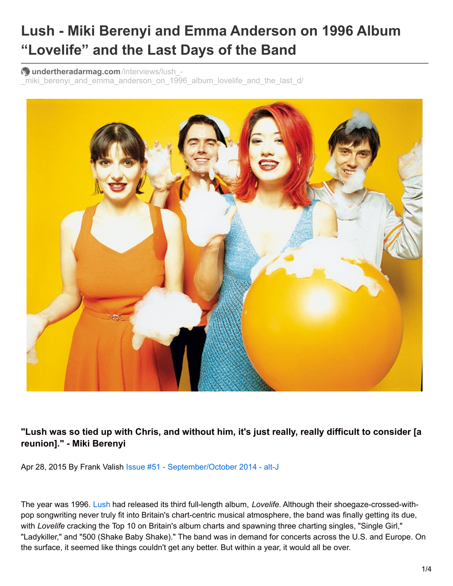## **Lush - Miki Berenyi and Emma Anderson on 1996 Album "Lovelife" and the Last Days of the Band**

**undertheradarmag.com**/interviews/lush\_-

miki berenyi and emma anderson on 1996 album lovelife and the last d/



"Lush was so tied up with Chris, and without him, it's just really, really difficult to consider [a **reunion]." - Miki Berenyi**

Apr 28, 2015 By Frank Valish Issue #51 - [September/October](http://www.undertheradarmag.com/issues/issue_51/) 2014 - alt-J

The year was 1996. [Lush](http://www.undertheradarmag.com/artists/lush/) had released its third full-length album, *Lovelife*. Although their shoegaze-crossed-withpop songwriting never truly fit into Britain's chart-centric musical atmosphere, the band was finally getting its due, with *Lovelife* cracking the Top 10 on Britain's album charts and spawning three charting singles, "Single Girl," "Ladykiller," and "500 (Shake Baby Shake)." The band was in demand for concerts across the U.S. and Europe. On the surface, it seemed like things couldn't get any better. But within a year, it would all be over.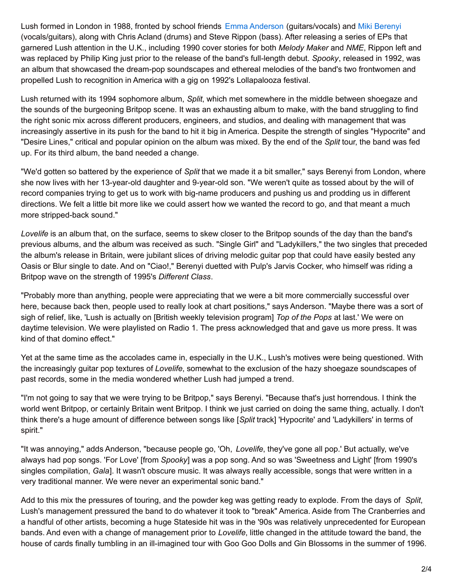Lush formed in London in 1988, fronted by school friends Emma [Anderson](http://www.undertheradarmag.com/artists/emma_anderson/) (guitars/vocals) and Miki [Berenyi](http://www.undertheradarmag.com/artists/miki_berenyi/) (vocals/guitars), along with Chris Acland (drums) and Steve Rippon (bass). After releasing a series of EPs that garnered Lush attention in the U.K., including 1990 cover stories for both *Melody Maker* and *NME*, Rippon left and was replaced by Philip King just prior to the release of the band's full-length debut. *Spooky*, released in 1992, was an album that showcased the dream-pop soundscapes and ethereal melodies of the band's two frontwomen and propelled Lush to recognition in America with a gig on 1992's Lollapalooza festival.

Lush returned with its 1994 sophomore album, *Split*, which met somewhere in the middle between shoegaze and the sounds of the burgeoning Britpop scene. It was an exhausting album to make, with the band struggling to find the right sonic mix across different producers, engineers, and studios, and dealing with management that was increasingly assertive in its push for the band to hit it big in America. Despite the strength of singles "Hypocrite" and "Desire Lines," critical and popular opinion on the album was mixed. By the end of the *Split* tour, the band was fed up. For its third album, the band needed a change.

"We'd gotten so battered by the experience of *Split* that we made it a bit smaller," says Berenyi from London, where she now lives with her 13-year-old daughter and 9-year-old son. "We weren't quite as tossed about by the will of record companies trying to get us to work with big-name producers and pushing us and prodding us in different directions. We felt a little bit more like we could assert how we wanted the record to go, and that meant a much more stripped-back sound."

*Lovelife* is an album that, on the surface, seems to skew closer to the Britpop sounds of the day than the band's previous albums, and the album was received as such. "Single Girl" and "Ladykillers," the two singles that preceded the album's release in Britain, were jubilant slices of driving melodic guitar pop that could have easily bested any Oasis or Blur single to date. And on "Ciao!," Berenyi duetted with Pulp's Jarvis Cocker, who himself was riding a Britpop wave on the strength of 1995's *Different Class*.

"Probably more than anything, people were appreciating that we were a bit more commercially successful over here, because back then, people used to really look at chart positions," says Anderson. "Maybe there was a sort of sigh of relief, like, 'Lush is actually on [British weekly television program] *Top of the Pops* at last.' We were on daytime television. We were playlisted on Radio 1. The press acknowledged that and gave us more press. It was kind of that domino effect."

Yet at the same time as the accolades came in, especially in the U.K., Lush's motives were being questioned. With the increasingly guitar pop textures of *Lovelife*, somewhat to the exclusion of the hazy shoegaze soundscapes of past records, some in the media wondered whether Lush had jumped a trend.

"I'm not going to say that we were trying to be Britpop," says Berenyi. "Because that's just horrendous. I think the world went Britpop, or certainly Britain went Britpop. I think we just carried on doing the same thing, actually. I don't think there's a huge amount of difference between songs like [*Split* track] 'Hypocrite' and 'Ladykillers' in terms of spirit."

"It was annoying," adds Anderson, "because people go, 'Oh, *Lovelife*, they've gone all pop.' But actually, we've always had pop songs. 'For Love' [from *Spooky*] was a pop song. And so was 'Sweetness and Light' [from 1990's singles compilation, *Gala*]. It wasn't obscure music. It was always really accessible, songs that were written in a very traditional manner. We were never an experimental sonic band."

Add to this mix the pressures of touring, and the powder keg was getting ready to explode. From the days of *Split*, Lush's management pressured the band to do whatever it took to "break" America. Aside from The Cranberries and a handful of other artists, becoming a huge Stateside hit was in the '90s was relatively unprecedented for European bands. And even with a change of management prior to *Lovelife*, little changed in the attitude toward the band, the house of cards finally tumbling in an ill-imagined tour with Goo Goo Dolls and Gin Blossoms in the summer of 1996.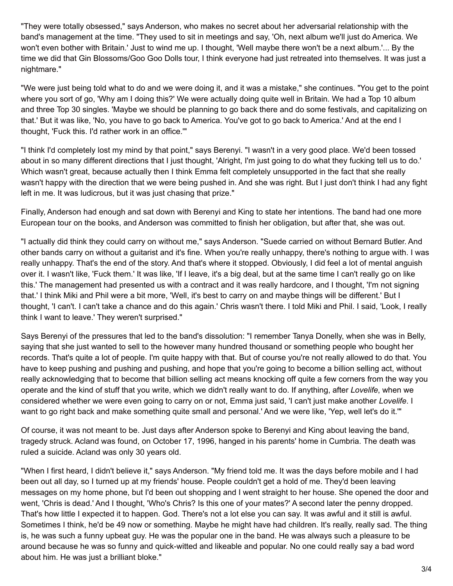"They were totally obsessed," says Anderson, who makes no secret about her adversarial relationship with the band's management at the time. "They used to sit in meetings and say, 'Oh, next album we'll just do America. We won't even bother with Britain.' Just to wind me up. I thought, 'Well maybe there won't be a next album.'... By the time we did that Gin Blossoms/Goo Goo Dolls tour, I think everyone had just retreated into themselves. It was just a nightmare."

"We were just being told what to do and we were doing it, and it was a mistake," she continues. "You get to the point where you sort of go, 'Why am I doing this?' We were actually doing quite well in Britain. We had a Top 10 album and three Top 30 singles. 'Maybe we should be planning to go back there and do some festivals, and capitalizing on that.' But it was like, 'No, you have to go back to America. You've got to go back to America.' And at the end I thought, 'Fuck this. I'd rather work in an office.'"

"I think I'd completely lost my mind by that point," says Berenyi. "I wasn't in a very good place. We'd been tossed about in so many different directions that I just thought, 'Alright, I'm just going to do what they fucking tell us to do.' Which wasn't great, because actually then I think Emma felt completely unsupported in the fact that she really wasn't happy with the direction that we were being pushed in. And she was right. But I just don't think I had any fight left in me. It was ludicrous, but it was just chasing that prize."

Finally, Anderson had enough and sat down with Berenyi and King to state her intentions. The band had one more European tour on the books, and Anderson was committed to finish her obligation, but after that, she was out.

"I actually did think they could carry on without me," says Anderson. "Suede carried on without Bernard Butler. And other bands carry on without a guitarist and it's fine. When you're really unhappy, there's nothing to argue with. I was really unhappy. That's the end of the story. And that's where it stopped. Obviously, I did feel a lot of mental anguish over it. I wasn't like, 'Fuck them.' It was like, 'If I leave, it's a big deal, but at the same time I can't really go on like this.' The management had presented us with a contract and it was really hardcore, and I thought, 'I'm not signing that.' I think Miki and Phil were a bit more, 'Well, it's best to carry on and maybe things will be different.' But I thought, 'I can't. I can't take a chance and do this again.' Chris wasn't there. I told Miki and Phil. I said, 'Look, I really think I want to leave.' They weren't surprised."

Says Berenyi of the pressures that led to the band's dissolution: "I remember Tanya Donelly, when she was in Belly, saying that she just wanted to sell to the however many hundred thousand or something people who bought her records. That's quite a lot of people. I'm quite happy with that. But of course you're not really allowed to do that. You have to keep pushing and pushing and pushing, and hope that you're going to become a billion selling act, without really acknowledging that to become that billion selling act means knocking off quite a few corners from the way you operate and the kind of stuff that you write, which we didn't really want to do. If anything, after *Lovelife*, when we considered whether we were even going to carry on or not, Emma just said, 'I can't just make another *Lovelife*. I want to go right back and make something quite small and personal.' And we were like, 'Yep, well let's do it.'"

Of course, it was not meant to be. Just days after Anderson spoke to Berenyi and King about leaving the band, tragedy struck. Acland was found, on October 17, 1996, hanged in his parents' home in Cumbria. The death was ruled a suicide. Acland was only 30 years old.

"When I first heard, I didn't believe it," says Anderson. "My friend told me. It was the days before mobile and I had been out all day, so I turned up at my friends' house. People couldn't get a hold of me. They'd been leaving messages on my home phone, but I'd been out shopping and I went straight to her house. She opened the door and went, 'Chris is dead.' And I thought, 'Who's Chris? Is this one of your mates?' A second later the penny dropped. That's how little I expected it to happen. God. There's not a lot else you can say. It was awful and it still is awful. Sometimes I think, he'd be 49 now or something. Maybe he might have had children. It's really, really sad. The thing is, he was such a funny upbeat guy. He was the popular one in the band. He was always such a pleasure to be around because he was so funny and quick-witted and likeable and popular. No one could really say a bad word about him. He was just a brilliant bloke."